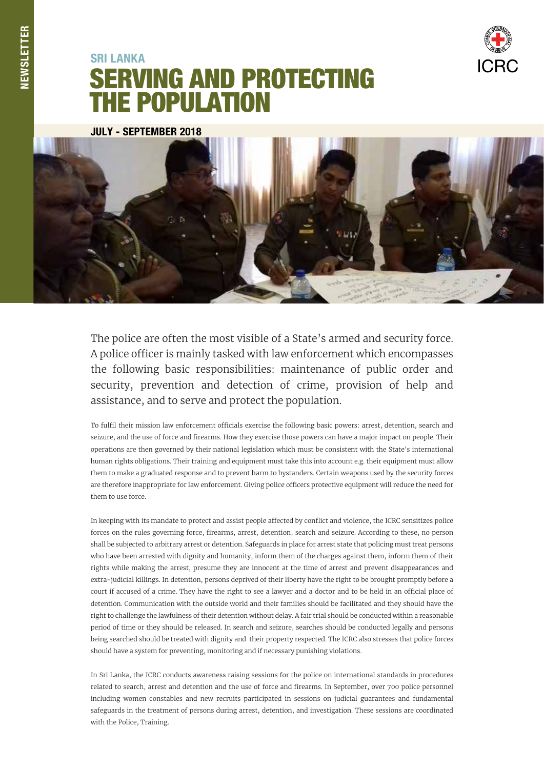

## SERVING AND PROTECTING THE POPULATION **SRI LANKA**

JULY - SEPTEMBER 2018



The police are often the most visible of a State's armed and security force. A police officer is mainly tasked with law enforcement which encompasses the following basic responsibilities: maintenance of public order and security, prevention and detection of crime, provision of help and assistance, and to serve and protect the population.

To fulfil their mission law enforcement officials exercise the following basic powers: arrest, detention, search and seizure, and the use of force and firearms. How they exercise those powers can have a major impact on people. Their operations are then governed by their national legislation which must be consistent with the State's international human rights obligations. Their training and equipment must take this into account e.g. their equipment must allow them to make a graduated response and to prevent harm to bystanders. Certain weapons used by the security forces are therefore inappropriate for law enforcement. Giving police officers protective equipment will reduce the need for them to use force.

In keeping with its mandate to protect and assist people affected by conflict and violence, the ICRC sensitizes police forces on the rules governing force, firearms, arrest, detention, search and seizure. According to these, no person shall be subjected to arbitrary arrest or detention. Safeguards in place for arrest state that policing must treat persons who have been arrested with dignity and humanity, inform them of the charges against them, inform them of their rights while making the arrest, presume they are innocent at the time of arrest and prevent disappearances and extra-judicial killings. In detention, persons deprived of their liberty have the right to be brought promptly before a court if accused of a crime. They have the right to see a lawyer and a doctor and to be held in an official place of detention. Communication with the outside world and their families should be facilitated and they should have the right to challenge the lawfulness of their detention without delay. A fair trial should be conducted within a reasonable period of time or they should be released. In search and seizure, searches should be conducted legally and persons being searched should be treated with dignity and their property respected. The ICRC also stresses that police forces should have a system for preventing, monitoring and if necessary punishing violations.

In Sri Lanka, the ICRC conducts awareness raising sessions for the police on international standards in procedures related to search, arrest and detention and the use of force and firearms. In September, over 700 police personnel including women constables and new recruits participated in sessions on judicial guarantees and fundamental safeguards in the treatment of persons during arrest, detention, and investigation. These sessions are coordinated with the Police, Training.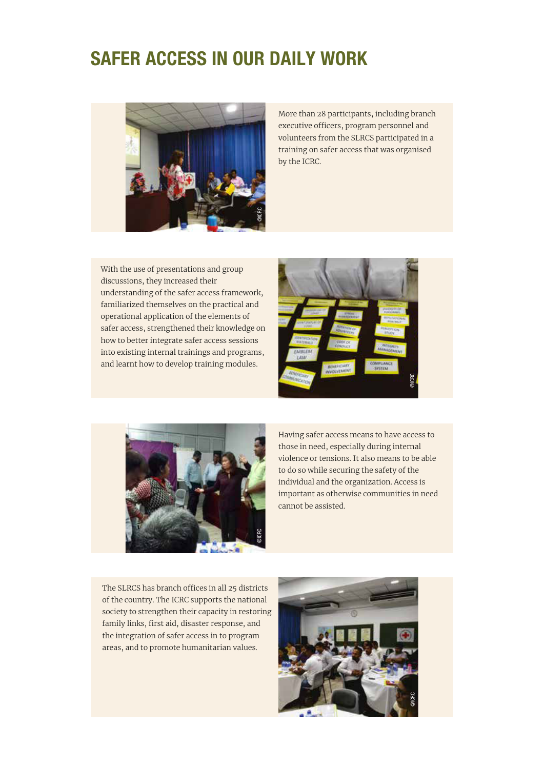### SAFER ACCESS IN OUR DAILY WORK



More than 28 participants, including branch executive officers, program personnel and volunteers from the SLRCS participated in a training on safer access that was organised by the ICRC.

With the use of presentations and group discussions, they increased their understanding of the safer access framework, familiarized themselves on the practical and operational application of the elements of safer access, strengthened their knowledge on how to better integrate safer access sessions into existing internal trainings and programs, and learnt how to develop training modules.





Having safer access means to have access to those in need, especially during internal violence or tensions. It also means to be able to do so while securing the safety of the individual and the organization. Access is important as otherwise communities in need cannot be assisted.

The SLRCS has branch offices in all 25 districts of the country. The ICRC supports the national society to strengthen their capacity in restoring family links, first aid, disaster response, and the integration of safer access in to program areas, and to promote humanitarian values.

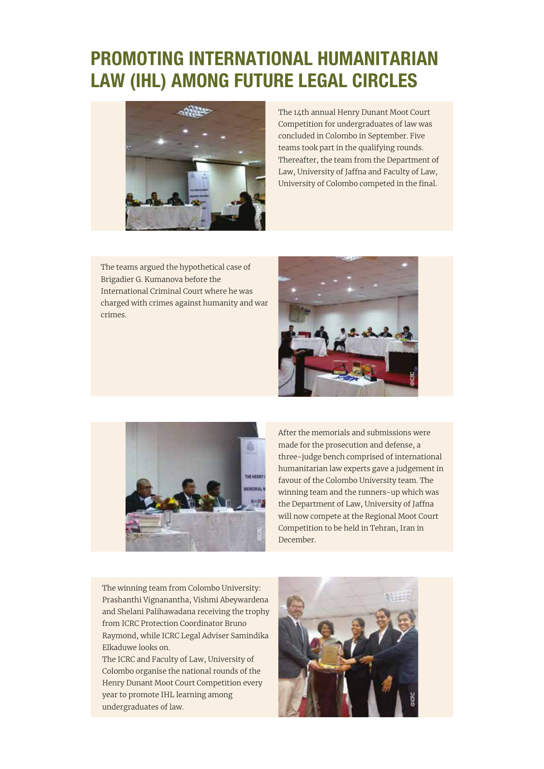# PROMOTING INTERNATIONAL HUMANITARIAN LAW (IHL) AMONG FUTURE LEGAL CIRCLES



The 14th annual Henry Dunant Moot Court Competition for undergraduates of law was concluded in Colombo in September. Five teams took part in the qualifying rounds. Thereafter, the team from the Department of Law, University of Jaffna and Faculty of Law, University of Colombo competed in the final.

The teams argued the hypothetical case of Brigadier G. Kumanova before the International Criminal Court where he was charged with crimes against humanity and war crimes.





After the memorials and submissions were made for the prosecution and defense, a three-judge bench comprised of international humanitarian law experts gave a judgement in favour of the Colombo University team. The winning team and the runners-up which was the Department of Law, University of Jaffna will now compete at the Regional Moot Court Competition to be held in Tehran, Iran in December.

The winning team from Colombo University: Prashanthi Vignanantha, Vishmi Abeywardena and Shelani Palihawadana receiving the trophy from ICRC Protection Coordinator Bruno Raymond, while ICRC Legal Adviser Samindika Elkaduwe looks on.

The ICRC and Faculty of Law, University of Colombo organise the national rounds of the Henry Dunant Moot Court Competition every year to promote IHL learning among undergraduates of law.